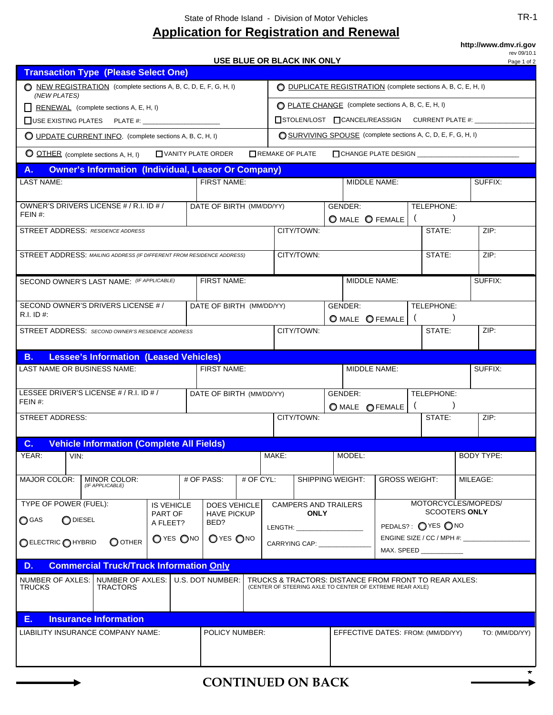## **Application for Registration and Renewal**

**http://www.dmv.ri.gov**

**USE BLUE OR BLACK INK ONLY**

rev 09/10.1

|                                                                                                                                                                                                                   |                          |                            |             |                                                                                                                                                                                                                                                                                                                                                                                                                                                                                             | USE BLUE OR BLACK INK ONLY                                                                                                                                                                                                     |              |                                  |                                   |                     |                      |         | Page 1 of 2       |
|-------------------------------------------------------------------------------------------------------------------------------------------------------------------------------------------------------------------|--------------------------|----------------------------|-------------|---------------------------------------------------------------------------------------------------------------------------------------------------------------------------------------------------------------------------------------------------------------------------------------------------------------------------------------------------------------------------------------------------------------------------------------------------------------------------------------------|--------------------------------------------------------------------------------------------------------------------------------------------------------------------------------------------------------------------------------|--------------|----------------------------------|-----------------------------------|---------------------|----------------------|---------|-------------------|
| <b>Transaction Type (Please Select One)</b>                                                                                                                                                                       |                          |                            |             |                                                                                                                                                                                                                                                                                                                                                                                                                                                                                             |                                                                                                                                                                                                                                |              |                                  |                                   |                     |                      |         |                   |
| NEW REGISTRATION (complete sections A, B, C, D, E, F, G, H, I)<br>(NEW PLATES)                                                                                                                                    |                          |                            |             |                                                                                                                                                                                                                                                                                                                                                                                                                                                                                             | ◯ DUPLICATE REGISTRATION (complete sections A, B, C, E, H, I)                                                                                                                                                                  |              |                                  |                                   |                     |                      |         |                   |
| RENEWAL (complete sections A, E, H, I)                                                                                                                                                                            |                          |                            |             |                                                                                                                                                                                                                                                                                                                                                                                                                                                                                             | PLATE CHANGE (complete sections A, B, C, E, H, I)                                                                                                                                                                              |              |                                  |                                   |                     |                      |         |                   |
|                                                                                                                                                                                                                   |                          |                            |             |                                                                                                                                                                                                                                                                                                                                                                                                                                                                                             | □ STOLEN/LOST □ CANCEL/REASSIGN CURRENT PLATE #: _____                                                                                                                                                                         |              |                                  |                                   |                     |                      |         |                   |
| O SURVIVING SPOUSE (complete sections A, C, D, E, F, G, H, I)<br><b>O UPDATE CURRENT INFO.</b> (complete sections A, B, C, H, I)                                                                                  |                          |                            |             |                                                                                                                                                                                                                                                                                                                                                                                                                                                                                             |                                                                                                                                                                                                                                |              |                                  |                                   |                     |                      |         |                   |
| O OTHER (complete sections A, H, I)<br>VANITY PLATE ORDER<br>REMAKE OF PLATE                                                                                                                                      |                          |                            |             |                                                                                                                                                                                                                                                                                                                                                                                                                                                                                             |                                                                                                                                                                                                                                |              |                                  |                                   |                     |                      |         |                   |
| <b>Owner's Information (Individual, Leasor Or Company)</b><br>А.                                                                                                                                                  |                          |                            |             |                                                                                                                                                                                                                                                                                                                                                                                                                                                                                             |                                                                                                                                                                                                                                |              |                                  |                                   |                     |                      |         |                   |
| <b>LAST NAME:</b><br>FIRST NAME:                                                                                                                                                                                  |                          |                            |             |                                                                                                                                                                                                                                                                                                                                                                                                                                                                                             | MIDDLE NAME:                                                                                                                                                                                                                   |              |                                  |                                   |                     |                      |         | SUFFIX:           |
| OWNER'S DRIVERS LICENSE # / R.I. ID # /                                                                                                                                                                           | DATE OF BIRTH (MM/DD/YY) |                            |             |                                                                                                                                                                                                                                                                                                                                                                                                                                                                                             | GENDER:                                                                                                                                                                                                                        |              |                                  |                                   |                     | TELEPHONE:           |         |                   |
| FEIN $#$ :                                                                                                                                                                                                        |                          |                            |             | O MALE O FEMALE                                                                                                                                                                                                                                                                                                                                                                                                                                                                             |                                                                                                                                                                                                                                |              |                                  |                                   |                     |                      |         |                   |
| <b>STREET ADDRESS: RESIDENCE ADDRESS</b>                                                                                                                                                                          |                          |                            |             | CITY/TOWN:<br>STATE:                                                                                                                                                                                                                                                                                                                                                                                                                                                                        |                                                                                                                                                                                                                                |              |                                  |                                   |                     | ZIP:                 |         |                   |
|                                                                                                                                                                                                                   |                          |                            |             |                                                                                                                                                                                                                                                                                                                                                                                                                                                                                             |                                                                                                                                                                                                                                |              |                                  |                                   |                     |                      | ZIP:    |                   |
| STREET ADDRESS: MAILING ADDRESS (IF DIFFERENT FROM RESIDENCE ADDRESS)                                                                                                                                             |                          |                            |             | CITY/TOWN:<br>STATE:                                                                                                                                                                                                                                                                                                                                                                                                                                                                        |                                                                                                                                                                                                                                |              |                                  |                                   |                     |                      |         |                   |
| FIRST NAME:<br>SECOND OWNER'S LAST NAME: (IF APPLICABLE)                                                                                                                                                          |                          |                            |             |                                                                                                                                                                                                                                                                                                                                                                                                                                                                                             |                                                                                                                                                                                                                                | MIDDLE NAME: |                                  |                                   |                     |                      | SUFFIX: |                   |
|                                                                                                                                                                                                                   |                          |                            |             |                                                                                                                                                                                                                                                                                                                                                                                                                                                                                             |                                                                                                                                                                                                                                |              |                                  |                                   |                     |                      |         |                   |
| SECOND OWNER'S DRIVERS LICENSE #/<br>DATE OF BIRTH (MM/DD/YY)<br>$R.I.$ ID #:                                                                                                                                     |                          |                            |             | GENDER:                                                                                                                                                                                                                                                                                                                                                                                                                                                                                     |                                                                                                                                                                                                                                |              |                                  | TELEPHONE:<br>$\left($            |                     |                      |         |                   |
| STREET ADDRESS: SECOND OWNER'S RESIDENCE ADDRESS                                                                                                                                                                  |                          |                            |             |                                                                                                                                                                                                                                                                                                                                                                                                                                                                                             | O MALE O FEMALE<br>CITY/TOWN:                                                                                                                                                                                                  |              |                                  |                                   |                     | STATE:               |         | ZIP:              |
|                                                                                                                                                                                                                   |                          |                            |             |                                                                                                                                                                                                                                                                                                                                                                                                                                                                                             |                                                                                                                                                                                                                                |              |                                  |                                   |                     |                      |         |                   |
| <b>Lessee's Information (Leased Vehicles)</b><br><b>B.</b>                                                                                                                                                        |                          |                            |             |                                                                                                                                                                                                                                                                                                                                                                                                                                                                                             |                                                                                                                                                                                                                                |              |                                  |                                   |                     |                      |         |                   |
| <b>LAST NAME OR BUSINESS NAME:</b><br>FIRST NAME:                                                                                                                                                                 |                          |                            |             | MIDDLE NAME:                                                                                                                                                                                                                                                                                                                                                                                                                                                                                |                                                                                                                                                                                                                                |              |                                  |                                   | SUFFIX:             |                      |         |                   |
| LESSEE DRIVER'S LICENSE # / R.I. ID # /<br>DATE OF BIRTH (MM/DD/YY)                                                                                                                                               |                          |                            |             |                                                                                                                                                                                                                                                                                                                                                                                                                                                                                             |                                                                                                                                                                                                                                |              | GENDER:                          |                                   |                     | TELEPHONE:           |         |                   |
| FEIN#:                                                                                                                                                                                                            |                          |                            |             | O MALE OFEMALE                                                                                                                                                                                                                                                                                                                                                                                                                                                                              |                                                                                                                                                                                                                                |              |                                  |                                   |                     |                      |         |                   |
| <b>STREET ADDRESS:</b>                                                                                                                                                                                            |                          |                            |             | CITY/TOWN:                                                                                                                                                                                                                                                                                                                                                                                                                                                                                  |                                                                                                                                                                                                                                |              |                                  | STATE:                            |                     | ZIP:                 |         |                   |
|                                                                                                                                                                                                                   |                          |                            |             |                                                                                                                                                                                                                                                                                                                                                                                                                                                                                             |                                                                                                                                                                                                                                |              |                                  |                                   |                     |                      |         |                   |
| <b>Vehicle Information (Complete All Fields)</b><br>C <sub>1</sub>                                                                                                                                                |                          |                            |             |                                                                                                                                                                                                                                                                                                                                                                                                                                                                                             |                                                                                                                                                                                                                                |              |                                  |                                   |                     |                      |         |                   |
|                                                                                                                                                                                                                   | YEAR:<br>VIN:            |                            |             | MAKE:                                                                                                                                                                                                                                                                                                                                                                                                                                                                                       | MODEL:                                                                                                                                                                                                                         |              |                                  |                                   |                     |                      |         | <b>BODY TYPE:</b> |
| <b>MAJOR COLOR:</b><br>MINOR COLOR:<br>(IF APPLICABLE)                                                                                                                                                            |                          | # OF PASS:                 | $#$ OF CYL: |                                                                                                                                                                                                                                                                                                                                                                                                                                                                                             | <b>SHIPPING WEIGHT:</b>                                                                                                                                                                                                        |              | <b>GROSS WEIGHT:</b><br>MILEAGE: |                                   |                     |                      |         |                   |
| TYPE OF POWER (FUEL):                                                                                                                                                                                             | <b>IS VEHICLE</b>        |                            |             | <b>CAMPERS AND TRAILERS</b><br><b>DOES VEHICLE</b>                                                                                                                                                                                                                                                                                                                                                                                                                                          |                                                                                                                                                                                                                                |              |                                  |                                   | MOTORCYCLES/MOPEDS/ |                      |         |                   |
| PART OF<br>O DIESEL<br><b>O</b> GAS                                                                                                                                                                               |                          | <b>HAVE PICKUP</b><br>BED? |             | <b>ONLY</b>                                                                                                                                                                                                                                                                                                                                                                                                                                                                                 |                                                                                                                                                                                                                                |              |                                  |                                   |                     | <b>SCOOTERS ONLY</b> |         |                   |
| A FLEET?                                                                                                                                                                                                          |                          |                            |             |                                                                                                                                                                                                                                                                                                                                                                                                                                                                                             | LENGTH: The contract of the contract of the contract of the contract of the contract of the contract of the contract of the contract of the contract of the contract of the contract of the contract of the contract of the co |              |                                  | PEDALS?: OYES ONO                 |                     |                      |         |                   |
| OYES ONO<br>O YES ONO<br>$\bigcirc$ other<br><b>OELECTRIC OHYBRID</b>                                                                                                                                             |                          |                            |             | ENGINE SIZE / CC / MPH #: \\connect{\sigma_{\sigma_{\sigma_{\sigma_{\sigma_{\sigma_{\sigma_{\sigma_{\sigma_{\sigma_{\sigma_{\sigma_{\sigma_{\sigma_{\sigma_{\sigma_{\sigma_{\sigma_{\sigma_{\sigma_{\sigma_{\sigma_{\sigma_{\s<br>CARRYING CAP: \\square\\sqrt{\sqrt{\sqrt{\sqrt{\sqrt{\sqrt{\sqrt{\sqrt{\sqrt{\sqrt{\sqrt{\sqrt{\sqrt{\sqrt{\sqrt{\sqrt{\sqrt{\sqrt{\sqrt{\sqrt{\sqrt{\sqrt{\sqrt{\sqrt{\sqrt{\sqrt{\sqrt{\sqrt{\sqrt{\sqrt{\sqrt{\sqrt{\sqrt{\<br>MAX. SPEED ____________ |                                                                                                                                                                                                                                |              |                                  |                                   |                     |                      |         |                   |
| D.                                                                                                                                                                                                                |                          |                            |             |                                                                                                                                                                                                                                                                                                                                                                                                                                                                                             |                                                                                                                                                                                                                                |              |                                  |                                   |                     |                      |         |                   |
| <b>Commercial Truck/Truck Information Only</b>                                                                                                                                                                    |                          |                            |             |                                                                                                                                                                                                                                                                                                                                                                                                                                                                                             |                                                                                                                                                                                                                                |              |                                  |                                   |                     |                      |         |                   |
| NUMBER OF AXLES:<br>NUMBER OF AXLES:<br>U.S. DOT NUMBER:<br>TRUCKS & TRACTORS: DISTANCE FROM FRONT TO REAR AXLES:<br><b>TRUCKS</b><br><b>TRACTORS</b><br>(CENTER OF STEERING AXLE TO CENTER OF EXTREME REAR AXLE) |                          |                            |             |                                                                                                                                                                                                                                                                                                                                                                                                                                                                                             |                                                                                                                                                                                                                                |              |                                  |                                   |                     |                      |         |                   |
| <b>Insurance Information</b><br>Е.                                                                                                                                                                                |                          |                            |             |                                                                                                                                                                                                                                                                                                                                                                                                                                                                                             |                                                                                                                                                                                                                                |              |                                  |                                   |                     |                      |         |                   |
| LIABILITY INSURANCE COMPANY NAME:<br>POLICY NUMBER:                                                                                                                                                               |                          |                            |             |                                                                                                                                                                                                                                                                                                                                                                                                                                                                                             |                                                                                                                                                                                                                                |              |                                  | EFFECTIVE DATES: FROM: (MM/DD/YY) |                     |                      |         | TO: (MM/DD/YY)    |
|                                                                                                                                                                                                                   |                          |                            |             |                                                                                                                                                                                                                                                                                                                                                                                                                                                                                             |                                                                                                                                                                                                                                |              |                                  |                                   |                     |                      |         |                   |
|                                                                                                                                                                                                                   |                          |                            |             |                                                                                                                                                                                                                                                                                                                                                                                                                                                                                             |                                                                                                                                                                                                                                |              |                                  |                                   |                     |                      |         |                   |